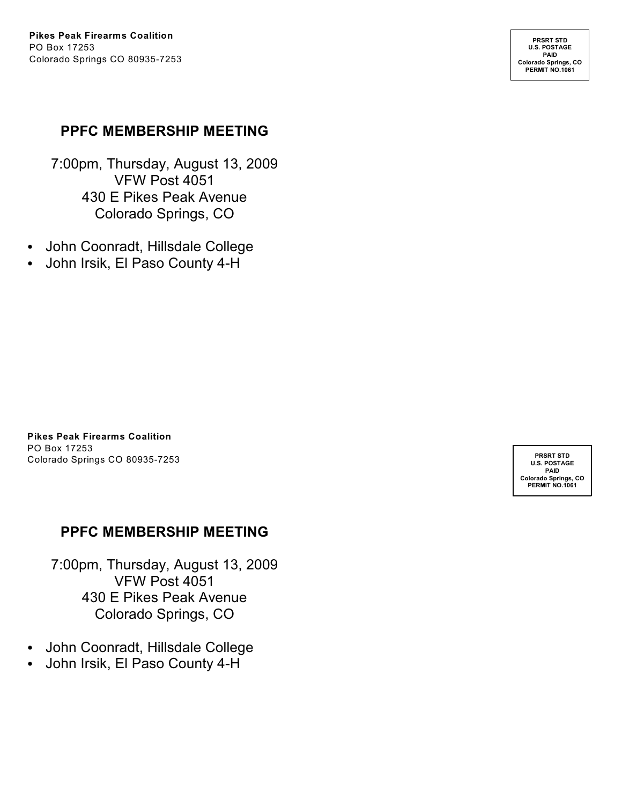**PRSRT STD U.S. POSTAGE PAID Colorado Springs, CO PERMIT NO.1061**

#### **PPFC MEMBERSHIP MEETING**

7:00pm, Thursday, August 13, 2009 VFW Post 4051 430 E Pikes Peak Avenue Colorado Springs, CO

- John Coonradt, Hillsdale College
- John Irsik, El Paso County 4-H

**Pikes Peak Firearms Coalition** PO Box 17253 Colorado Springs CO 80935-7253

#### **PPFC MEMBERSHIP MEETING**

7:00pm, Thursday, August 13, 2009 VFW Post 4051 430 E Pikes Peak Avenue Colorado Springs, CO

- John Coonradt, Hillsdale College
- John Irsik, El Paso County 4-H

**PRSRT STD U.S. POSTAGE PAID Colorado Springs, CO PERMIT NO.1061**